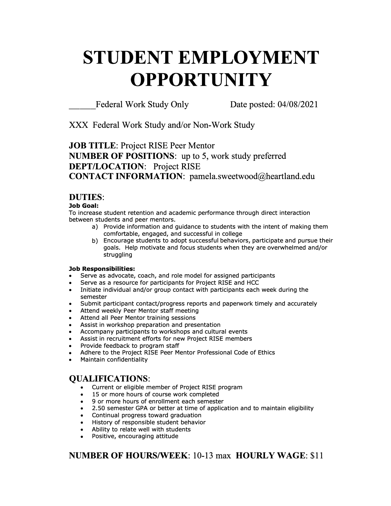# **STUDENT EMPLOYMENT OPPORTUNITY**

Federal Work Study Only Date posted: 04/08/2021

XXX Federal Work Study and/or Non-Work Study

**JOB TITLE:** Project RISE Peer Mentor **NUMBER OF POSITIONS:** up to 5, work study preferred **DEPT/LOCATION:** Project RISE **CONTACT INFORMATION:** pamela.sweetwood@heartland.edu

#### **DUTIES:**

#### **Job Goal:**

To increase student retention and academic performance through direct interaction between students and peer mentors.

- a) Provide information and guidance to students with the intent of making them comfortable, engaged, and successful in college
- b) Encourage students to adopt successful behaviors, participate and pursue their goals. Help motivate and focus students when they are overwhelmed and/or struggling

#### **Job Responsibilities:**

- Serve as advocate, coach, and role model for assigned participants
- Serve as a resource for participants for Project RISE and HCC
- Initiate individual and/or group contact with participants each week during the semester
- Submit participant contact/progress reports and paperwork timely and accurately
- Attend weekly Peer Mentor staff meeting
- Attend all Peer Mentor training sessions
- Assist in workshop preparation and presentation
- Accompany participants to workshops and cultural events
- Assist in recruitment efforts for new Project RISE members
- Provide feedback to program staff
- Adhere to the Project RISE Peer Mentor Professional Code of Ethics
- Maintain confidentiality

## **QUALIFICATIONS:**

- Current or eligible member of Project RISE program
- 15 or more hours of course work completed<br>• 9 or more hours of enrollment each semeste
- 9 or more hours of enrollment each semester
- 2.50 semester GPA or better at time of application and to maintain eligibility • 2.50 semester GPA or better at time o<br>• Continual progress toward graduation
- 
- History of responsible student behavior
- Ability to relate well with students
- Positive, encouraging attitude

## **NUMBER OF HOURS/WEEK:** 10-13 max **HOURLY WAGE:** \$11